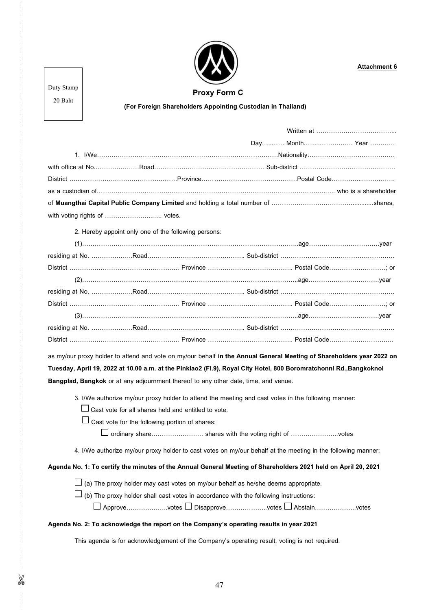

**Attachment 6**

Duty Stamp

 **Proxy Form C**

20 Baht

 $\frac{1}{2}$ 

## **(For Foreign Shareholders Appointing Custodian in Thailand)**

|                                                                                                                       |                                                                                                              |  |  |  | Day Month Year |
|-----------------------------------------------------------------------------------------------------------------------|--------------------------------------------------------------------------------------------------------------|--|--|--|----------------|
|                                                                                                                       |                                                                                                              |  |  |  |                |
|                                                                                                                       |                                                                                                              |  |  |  |                |
|                                                                                                                       |                                                                                                              |  |  |  |                |
|                                                                                                                       |                                                                                                              |  |  |  |                |
|                                                                                                                       |                                                                                                              |  |  |  |                |
| with voting rights of  votes.                                                                                         |                                                                                                              |  |  |  |                |
|                                                                                                                       | 2. Hereby appoint only one of the following persons:                                                         |  |  |  |                |
|                                                                                                                       |                                                                                                              |  |  |  |                |
|                                                                                                                       |                                                                                                              |  |  |  |                |
|                                                                                                                       |                                                                                                              |  |  |  |                |
|                                                                                                                       |                                                                                                              |  |  |  |                |
|                                                                                                                       |                                                                                                              |  |  |  |                |
|                                                                                                                       |                                                                                                              |  |  |  |                |
|                                                                                                                       |                                                                                                              |  |  |  |                |
|                                                                                                                       |                                                                                                              |  |  |  |                |
|                                                                                                                       |                                                                                                              |  |  |  |                |
| as my/our proxy holder to attend and vote on my/our behalf in the Annual General Meeting of Shareholders year 2022 on |                                                                                                              |  |  |  |                |
| Tuesday, April 19, 2022 at 10.00 a.m. at the Pinklao2 (FI.9), Royal City Hotel, 800 Boromratchonni Rd.,Bangkoknoi     |                                                                                                              |  |  |  |                |
| Bangplad, Bangkok or at any adjournment thereof to any other date, time, and venue.                                   |                                                                                                              |  |  |  |                |
|                                                                                                                       | 3. I/We authorize my/our proxy holder to attend the meeting and cast votes in the following manner:          |  |  |  |                |
|                                                                                                                       | $\Box$ Cast vote for all shares held and entitled to vote.                                                   |  |  |  |                |
|                                                                                                                       | $\Box$ Cast vote for the following portion of shares:                                                        |  |  |  |                |
|                                                                                                                       | $\Box$ ordinary share shares with the voting right of votes                                                  |  |  |  |                |
|                                                                                                                       | 4. I/We authorize my/our proxy holder to cast votes on my/our behalf at the meeting in the following manner: |  |  |  |                |
| Agenda No. 1: To certify the minutes of the Annual General Meeting of Shareholders 2021 held on April 20, 2021        |                                                                                                              |  |  |  |                |
|                                                                                                                       | $\Box$ (a) The proxy holder may cast votes on my/our behalf as he/she deems appropriate.                     |  |  |  |                |
| $\Box$ (b) The proxy holder shall cast votes in accordance with the following instructions:                           |                                                                                                              |  |  |  |                |
| $\Box$ Approvevotes $\Box$ Disapprovevotes $\Box$ Abstainvotes                                                        |                                                                                                              |  |  |  |                |
| Agenda No. 2: To acknowledge the report on the Company's operating results in year 2021                               |                                                                                                              |  |  |  |                |
| This agenda is for acknowledgement of the Company's operating result, voting is not required.                         |                                                                                                              |  |  |  |                |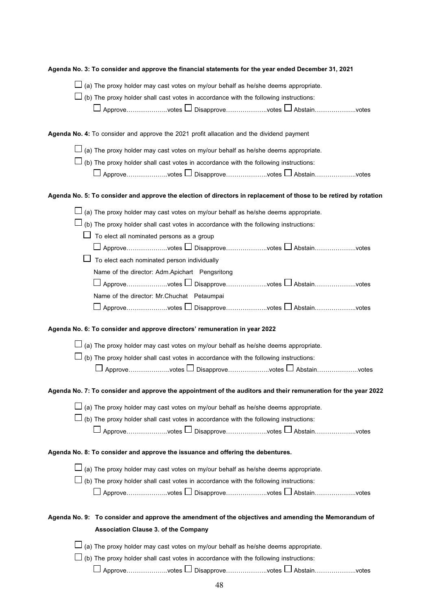| Agenda No. 3: To consider and approve the financial statements for the year ended December 31, 2021               |  |  |  |  |
|-------------------------------------------------------------------------------------------------------------------|--|--|--|--|
| $\Box$ (a) The proxy holder may cast votes on my/our behalf as he/she deems appropriate.                          |  |  |  |  |
| $\Box$ (b) The proxy holder shall cast votes in accordance with the following instructions:                       |  |  |  |  |
| $\Box$ Approve…………………votes $\Box$ Disapprove………………votes $\Box$ Abstain…………………votes                                |  |  |  |  |
|                                                                                                                   |  |  |  |  |
| Agenda No. 4: To consider and approve the 2021 profit allacation and the dividend payment                         |  |  |  |  |
| $\Box$ (a) The proxy holder may cast votes on my/our behalf as he/she deems appropriate.                          |  |  |  |  |
| $\Box$ (b) The proxy holder shall cast votes in accordance with the following instructions:                       |  |  |  |  |
| $\Box$ Approvevotes $\Box$ Disapprovevotes $\Box$ Abstainvotes                                                    |  |  |  |  |
| Agenda No. 5: To consider and approve the election of directors in replacement of those to be retired by rotation |  |  |  |  |
| (a) The proxy holder may cast votes on my/our behalf as he/she deems appropriate.                                 |  |  |  |  |
| (b) The proxy holder shall cast votes in accordance with the following instructions:                              |  |  |  |  |
| To elect all nominated persons as a group                                                                         |  |  |  |  |
| $\Box$ Approvevotes $\Box$ Disapprovevotes $\Box$ Abstainvotes                                                    |  |  |  |  |
| To elect each nominated person individually                                                                       |  |  |  |  |
| Name of the director: Adm.Apichart Pengsritong                                                                    |  |  |  |  |
| $\Box$ Approvevotes $\Box$ Disapprovevotes $\Box$ Abstainvotes                                                    |  |  |  |  |
| Name of the director: Mr.Chuchat Petaumpai                                                                        |  |  |  |  |
| $\Box$ Approvevotes $\Box$ Disapprovevotes $\Box$ Abstainvotes                                                    |  |  |  |  |
| Agenda No. 6: To consider and approve directors' remuneration in year 2022                                        |  |  |  |  |
| $\Box$ (a) The proxy holder may cast votes on my/our behalf as he/she deems appropriate.                          |  |  |  |  |
| $\Box$ (b) The proxy holder shall cast votes in accordance with the following instructions:                       |  |  |  |  |
| $\Box$ Approvevotes $\Box$ Disapprovevotes $\Box$ Abstainvotes                                                    |  |  |  |  |
| Agenda No. 7: To consider and approve the appointment of the auditors and their remuneration for the year 2022    |  |  |  |  |
| (a) The proxy holder may cast votes on my/our behalf as he/she deems appropriate.                                 |  |  |  |  |
| $\Box$ (b) The proxy holder shall cast votes in accordance with the following instructions:                       |  |  |  |  |
| $\Box$ Approvevotes $\Box$ Disapprovevotes $\Box$ Abstainvotes                                                    |  |  |  |  |
| Agenda No. 8: To consider and approve the issuance and offering the debentures.                                   |  |  |  |  |
| $\Box$ (a) The proxy holder may cast votes on my/our behalf as he/she deems appropriate.                          |  |  |  |  |
| $\Box$ (b) The proxy holder shall cast votes in accordance with the following instructions:                       |  |  |  |  |
| $\Box$ Approvevotes $\Box$ Disapprovevotes $\Box$ Abstainvotes                                                    |  |  |  |  |
|                                                                                                                   |  |  |  |  |
| Agenda No. 9: To consider and approve the amendment of the objectives and amending the Memorandum of              |  |  |  |  |
| <b>Association Clause 3. of the Company</b>                                                                       |  |  |  |  |
| $\Box$ (a) The proxy holder may cast votes on my/our behalf as he/she deems appropriate.                          |  |  |  |  |
| $\Box$ (b) The proxy holder shall cast votes in accordance with the following instructions:                       |  |  |  |  |
| $\Box$ Approvevotes $\Box$ Disapprovevotes $\Box$ Abstainvotes                                                    |  |  |  |  |